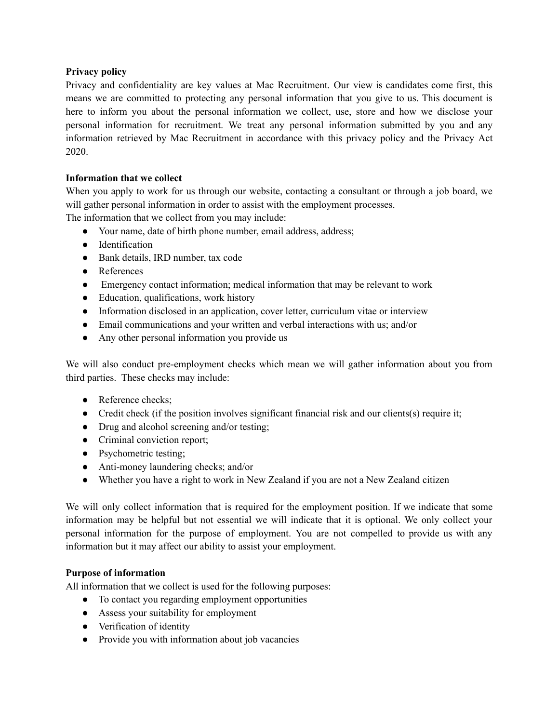## **Privacy policy**

Privacy and confidentiality are key values at Mac Recruitment. Our view is candidates come first, this means we are committed to protecting any personal information that you give to us. This document is here to inform you about the personal information we collect, use, store and how we disclose your personal information for recruitment. We treat any personal information submitted by you and any information retrieved by Mac Recruitment in accordance with this privacy policy and the Privacy Act 2020.

## **Information that we collect**

When you apply to work for us through our website, contacting a consultant or through a job board, we will gather personal information in order to assist with the employment processes.

The information that we collect from you may include:

- Your name, date of birth phone number, email address, address;
- Identification
- Bank details, IRD number, tax code
- References
- Emergency contact information; medical information that may be relevant to work
- Education, qualifications, work history
- Information disclosed in an application, cover letter, curriculum vitae or interview
- Email communications and your written and verbal interactions with us; and/or
- Any other personal information you provide us

We will also conduct pre-employment checks which mean we will gather information about you from third parties. These checks may include:

- Reference checks;
- Credit check (if the position involves significant financial risk and our clients(s) require it;
- Drug and alcohol screening and/or testing;
- Criminal conviction report;
- Psychometric testing;
- Anti-money laundering checks; and/or
- Whether you have a right to work in New Zealand if you are not a New Zealand citizen

We will only collect information that is required for the employment position. If we indicate that some information may be helpful but not essential we will indicate that it is optional. We only collect your personal information for the purpose of employment. You are not compelled to provide us with any information but it may affect our ability to assist your employment.

#### **Purpose of information**

All information that we collect is used for the following purposes:

- To contact you regarding employment opportunities
- Assess your suitability for employment
- Verification of identity
- Provide you with information about job vacancies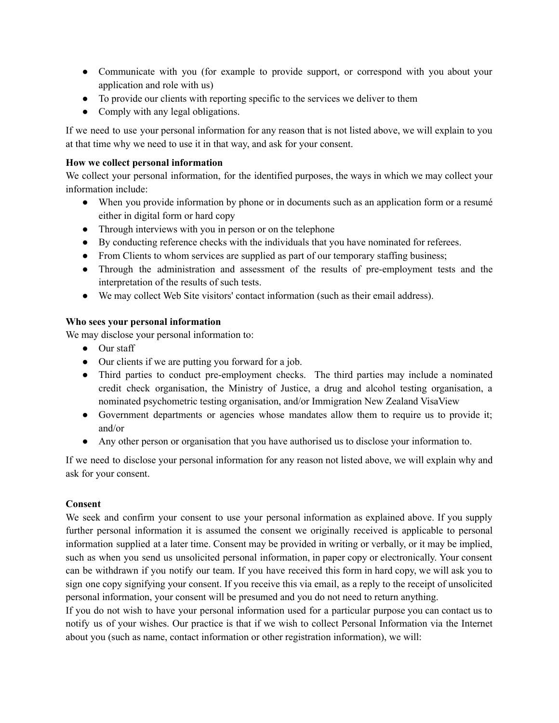- Communicate with you (for example to provide support, or correspond with you about your application and role with us)
- To provide our clients with reporting specific to the services we deliver to them
- Comply with any legal obligations.

If we need to use your personal information for any reason that is not listed above, we will explain to you at that time why we need to use it in that way, and ask for your consent.

## **How we collect personal information**

We collect your personal information, for the identified purposes, the ways in which we may collect your information include:

- When you provide information by phone or in documents such as an application form or a resumé either in digital form or hard copy
- Through interviews with you in person or on the telephone
- By conducting reference checks with the individuals that you have nominated for referees.
- From Clients to whom services are supplied as part of our temporary staffing business;
- Through the administration and assessment of the results of pre-employment tests and the interpretation of the results of such tests.
- We may collect Web Site visitors' contact information (such as their email address).

## **Who sees your personal information**

We may disclose your personal information to:

- Our staff
- Our clients if we are putting you forward for a job.
- Third parties to conduct pre-employment checks. The third parties may include a nominated credit check organisation, the Ministry of Justice, a drug and alcohol testing organisation, a nominated psychometric testing organisation, and/or Immigration New Zealand VisaView
- Government departments or agencies whose mandates allow them to require us to provide it; and/or
- Any other person or organisation that you have authorised us to disclose your information to.

If we need to disclose your personal information for any reason not listed above, we will explain why and ask for your consent.

#### **Consent**

We seek and confirm your consent to use your personal information as explained above. If you supply further personal information it is assumed the consent we originally received is applicable to personal information supplied at a later time. Consent may be provided in writing or verbally, or it may be implied, such as when you send us unsolicited personal information, in paper copy or electronically. Your consent can be withdrawn if you notify our team. If you have received this form in hard copy, we will ask you to sign one copy signifying your consent. If you receive this via email, as a reply to the receipt of unsolicited personal information, your consent will be presumed and you do not need to return anything.

If you do not wish to have your personal information used for a particular purpose you can contact us to notify us of your wishes. Our practice is that if we wish to collect Personal Information via the Internet about you (such as name, contact information or other registration information), we will: